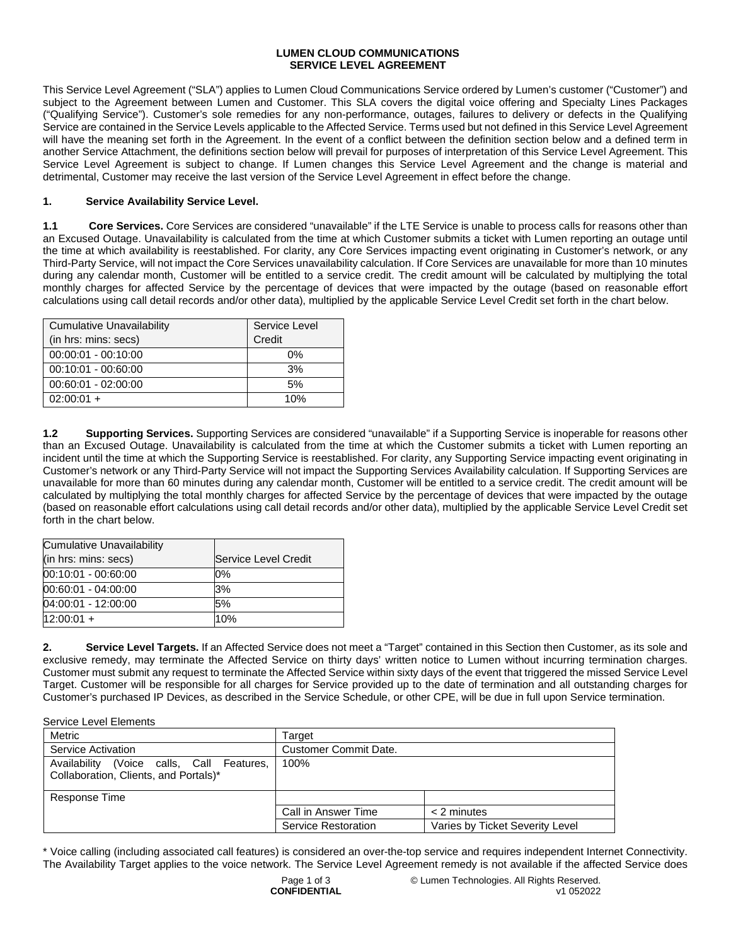## **LUMEN CLOUD COMMUNICATIONS SERVICE LEVEL AGREEMENT**

This Service Level Agreement ("SLA") applies to Lumen Cloud Communications Service ordered by Lumen's customer ("Customer") and subject to the Agreement between Lumen and Customer. This SLA covers the digital voice offering and Specialty Lines Packages ("Qualifying Service"). Customer's sole remedies for any non-performance, outages, failures to delivery or defects in the Qualifying Service are contained in the Service Levels applicable to the Affected Service. Terms used but not defined in this Service Level Agreement will have the meaning set forth in the Agreement. In the event of a conflict between the definition section below and a defined term in another Service Attachment, the definitions section below will prevail for purposes of interpretation of this Service Level Agreement. This Service Level Agreement is subject to change. If Lumen changes this Service Level Agreement and the change is material and detrimental, Customer may receive the last version of the Service Level Agreement in effect before the change.

## **1. Service Availability Service Level.**

**1.1 Core Services.** Core Services are considered "unavailable" if the LTE Service is unable to process calls for reasons other than an Excused Outage. Unavailability is calculated from the time at which Customer submits a ticket with Lumen reporting an outage until the time at which availability is reestablished. For clarity, any Core Services impacting event originating in Customer's network, or any Third-Party Service, will not impact the Core Services unavailability calculation. If Core Services are unavailable for more than 10 minutes during any calendar month, Customer will be entitled to a service credit. The credit amount will be calculated by multiplying the total monthly charges for affected Service by the percentage of devices that were impacted by the outage (based on reasonable effort calculations using call detail records and/or other data), multiplied by the applicable Service Level Credit set forth in the chart below.

| <b>Cumulative Unavailability</b> | Service Level |  |
|----------------------------------|---------------|--|
| (in hrs: mins: secs)             | Credit        |  |
| $00:00:01 - 00:10:00$            | 0%            |  |
| $00:10:01 - 00:60:00$            | 3%            |  |
| $00:60:01 - 02:00:00$            | 5%            |  |
| $02:00:01 +$                     | 10%           |  |

**1.2 Supporting Services.** Supporting Services are considered "unavailable" if a Supporting Service is inoperable for reasons other than an Excused Outage. Unavailability is calculated from the time at which the Customer submits a ticket with Lumen reporting an incident until the time at which the Supporting Service is reestablished. For clarity, any Supporting Service impacting event originating in Customer's network or any Third-Party Service will not impact the Supporting Services Availability calculation. If Supporting Services are unavailable for more than 60 minutes during any calendar month, Customer will be entitled to a service credit. The credit amount will be calculated by multiplying the total monthly charges for affected Service by the percentage of devices that were impacted by the outage (based on reasonable effort calculations using call detail records and/or other data), multiplied by the applicable Service Level Credit set forth in the chart below.

| <b>Cumulative Unavailability</b> |                      |
|----------------------------------|----------------------|
| (in hrs: mins: secs)             | Service Level Credit |
| 00:10:01 - 00:60:00              | 0%                   |
| 00:60:01 - 04:00:00              | 3%                   |
| 04:00:01 - 12:00:00              | 5%                   |
| $12:00:01 +$                     | 10%                  |

**2. Service Level Targets.** If an Affected Service does not meet a "Target" contained in this Section then Customer, as its sole and exclusive remedy, may terminate the Affected Service on thirty days' written notice to Lumen without incurring termination charges. Customer must submit any request to terminate the Affected Service within sixty days of the event that triggered the missed Service Level Target. Customer will be responsible for all charges for Service provided up to the date of termination and all outstanding charges for Customer's purchased IP Devices, as described in the Service Schedule, or other CPE, will be due in full upon Service termination.

Service Level Elements

| Metric                                                                             | Target                       |                                 |  |
|------------------------------------------------------------------------------------|------------------------------|---------------------------------|--|
| Service Activation                                                                 | <b>Customer Commit Date.</b> |                                 |  |
| Availability (Voice calls, Call Features,<br>Collaboration, Clients, and Portals)* | 100%                         |                                 |  |
| Response Time                                                                      |                              |                                 |  |
|                                                                                    | Call in Answer Time          | $<$ 2 minutes                   |  |
|                                                                                    | Service Restoration          | Varies by Ticket Severity Level |  |

\* Voice calling (including associated call features) is considered an over-the-top service and requires independent Internet Connectivity. The Availability Target applies to the voice network. The Service Level Agreement remedy is not available if the affected Service does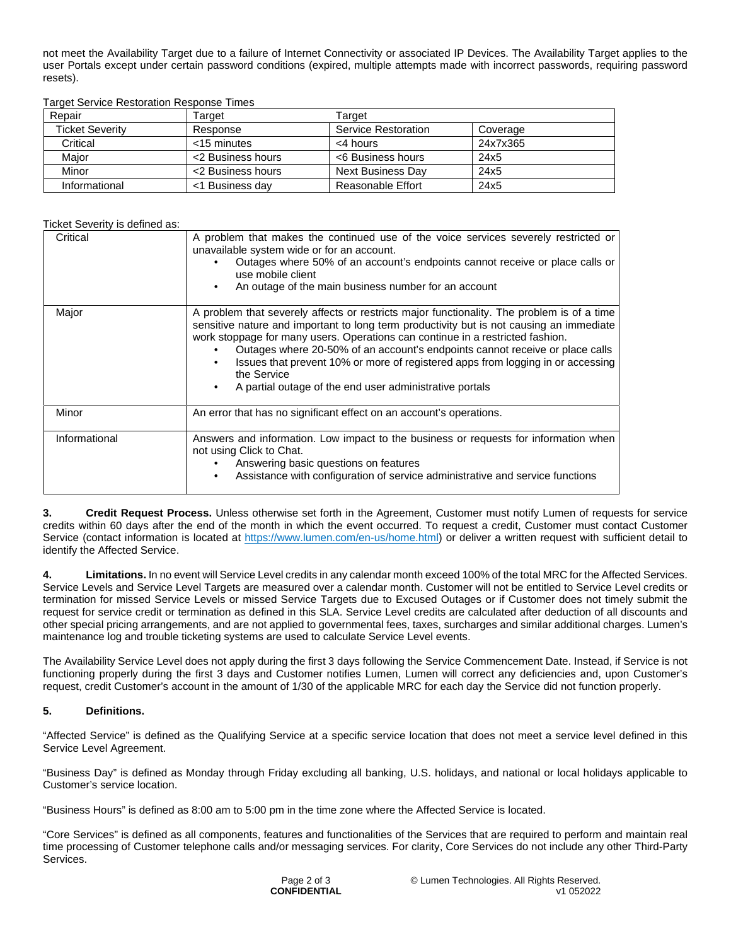not meet the Availability Target due to a failure of Internet Connectivity or associated IP Devices. The Availability Target applies to the user Portals except under certain password conditions (expired, multiple attempts made with incorrect passwords, requiring password resets).

Target Service Restoration Response Times

| Repair                 | Target            | Target              |          |
|------------------------|-------------------|---------------------|----------|
| <b>Ticket Severity</b> | Response          | Service Restoration | Coverage |
| Critical               | $<$ 15 minutes    | <4 hours            | 24x7x365 |
| Maior                  | <2 Business hours | <6 Business hours   | 24x5     |
| Minor                  | <2 Business hours | Next Business Day   | 24x5     |
| Informational          | <1 Business day   | Reasonable Effort   | 24x5     |

## Ticket Severity is defined as:

| Critical      | A problem that makes the continued use of the voice services severely restricted or<br>unavailable system wide or for an account.<br>Outages where 50% of an account's endpoints cannot receive or place calls or<br>use mobile client<br>An outage of the main business number for an account                                                                                                                                                                                                                             |
|---------------|----------------------------------------------------------------------------------------------------------------------------------------------------------------------------------------------------------------------------------------------------------------------------------------------------------------------------------------------------------------------------------------------------------------------------------------------------------------------------------------------------------------------------|
| Major         | A problem that severely affects or restricts major functionality. The problem is of a time<br>sensitive nature and important to long term productivity but is not causing an immediate<br>work stoppage for many users. Operations can continue in a restricted fashion.<br>Outages where 20-50% of an account's endpoints cannot receive or place calls<br>Issues that prevent 10% or more of registered apps from logging in or accessing<br>the Service<br>A partial outage of the end user administrative portals<br>٠ |
| Minor         | An error that has no significant effect on an account's operations.                                                                                                                                                                                                                                                                                                                                                                                                                                                        |
| Informational | Answers and information. Low impact to the business or requests for information when<br>not using Click to Chat.<br>Answering basic questions on features<br>Assistance with configuration of service administrative and service functions                                                                                                                                                                                                                                                                                 |

**3. Credit Request Process.** Unless otherwise set forth in the Agreement, Customer must notify Lumen of requests for service credits within 60 days after the end of the month in which the event occurred. To request a credit, Customer must contact Customer Service (contact information is located at [https://www.lumen.com/en-us/home.html\)](https://www.lumen.com/en-us/home.html) or deliver a written request with sufficient detail to identify the Affected Service.

**4. Limitations.** In no event will Service Level credits in any calendar month exceed 100% of the total MRC for the Affected Services. Service Levels and Service Level Targets are measured over a calendar month. Customer will not be entitled to Service Level credits or termination for missed Service Levels or missed Service Targets due to Excused Outages or if Customer does not timely submit the request for service credit or termination as defined in this SLA. Service Level credits are calculated after deduction of all discounts and other special pricing arrangements, and are not applied to governmental fees, taxes, surcharges and similar additional charges. Lumen's maintenance log and trouble ticketing systems are used to calculate Service Level events.

The Availability Service Level does not apply during the first 3 days following the Service Commencement Date. Instead, if Service is not functioning properly during the first 3 days and Customer notifies Lumen, Lumen will correct any deficiencies and, upon Customer's request, credit Customer's account in the amount of 1/30 of the applicable MRC for each day the Service did not function properly.

## **5. Definitions.**

"Affected Service" is defined as the Qualifying Service at a specific service location that does not meet a service level defined in this Service Level Agreement.

"Business Day" is defined as Monday through Friday excluding all banking, U.S. holidays, and national or local holidays applicable to Customer's service location.

"Business Hours" is defined as 8:00 am to 5:00 pm in the time zone where the Affected Service is located.

"Core Services" is defined as all components, features and functionalities of the Services that are required to perform and maintain real time processing of Customer telephone calls and/or messaging services. For clarity, Core Services do not include any other Third-Party Services.